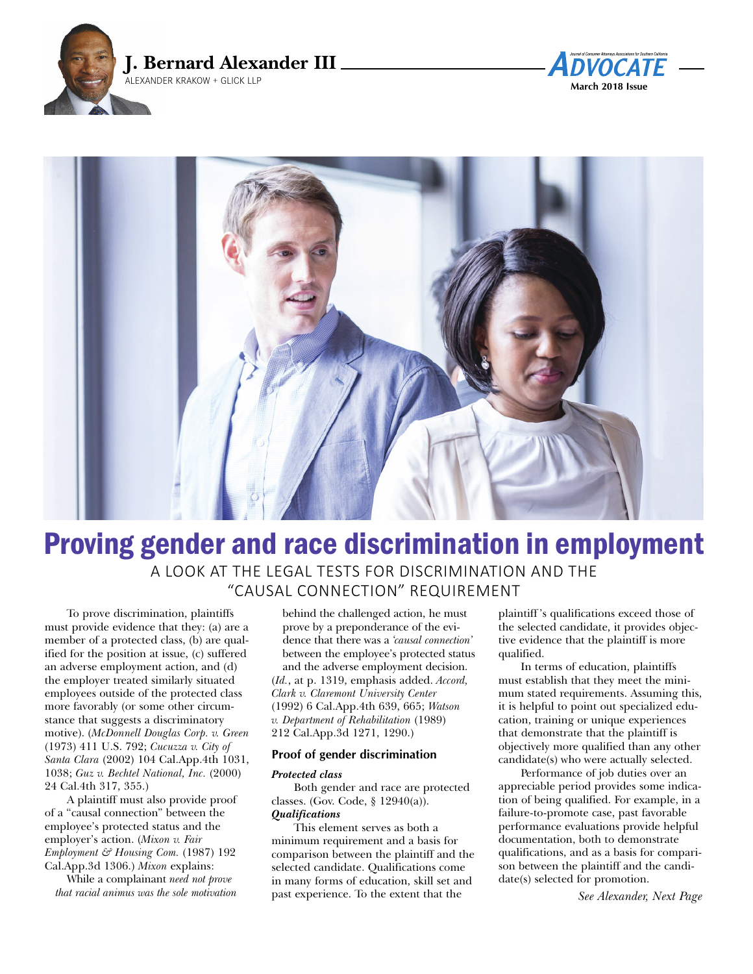





# Proving gender and race discrimination in employment

A LOOK AT THE LEGAL TESTS FOR DISCRIMINATION AND THE "CAUSAL CONNECTION" REQUIREMENT

To prove discrimination, plaintiffs must provide evidence that they: (a) are a member of a protected class, (b) are qualified for the position at issue, (c) suffered an adverse employment action, and (d) the employer treated similarly situated employees outside of the protected class more favorably (or some other circumstance that suggests a discriminatory motive). (*McDonnell Douglas Corp. v. Green* (1973) 411 U.S. 792; *Cucuzza v. City of Santa Clara* (2002) 104 Cal.App.4th 1031, 1038; *Guz v. Bechtel National, Inc.* (2000) 24 Cal.4th 317, 355.)

A plaintiff must also provide proof of a "causal connection" between the employee's protected status and the employer's action. (*Mixon v. Fair Employment & Housing Com.* (1987) 192 Cal.App.3d 1306.) *Mixon* explains:

While a complainant *need not prove that racial animus was the sole motivation*

behind the challenged action, he must prove by a preponderance of the evidence that there was a *'causal connection'* between the employee's protected status and the adverse employment decision. (*Id.*, at p. 1319, emphasis added. *Accord, Clark v. Claremont University Center* (1992) 6 Cal.App.4th 639, 665; *Watson v. Department of Rehabilitation* (1989) 212 Cal.App.3d 1271, 1290.)

#### **Proof of gender discrimination**

#### *Protected class*

Both gender and race are protected classes. (Gov. Code, § 12940(a)). *Qualifications*

This element serves as both a minimum requirement and a basis for comparison between the plaintiff and the selected candidate. Qualifications come in many forms of education, skill set and past experience. To the extent that the

plaintiff 's qualifications exceed those of the selected candidate, it provides objective evidence that the plaintiff is more qualified.

In terms of education, plaintiffs must establish that they meet the minimum stated requirements. Assuming this, it is helpful to point out specialized education, training or unique experiences that demonstrate that the plaintiff is objectively more qualified than any other candidate(s) who were actually selected.

Performance of job duties over an appreciable period provides some indication of being qualified. For example, in a failure-to-promote case, past favorable performance evaluations provide helpful documentation, both to demonstrate qualifications, and as a basis for comparison between the plaintiff and the candidate(s) selected for promotion.

*See Alexander, Next Page*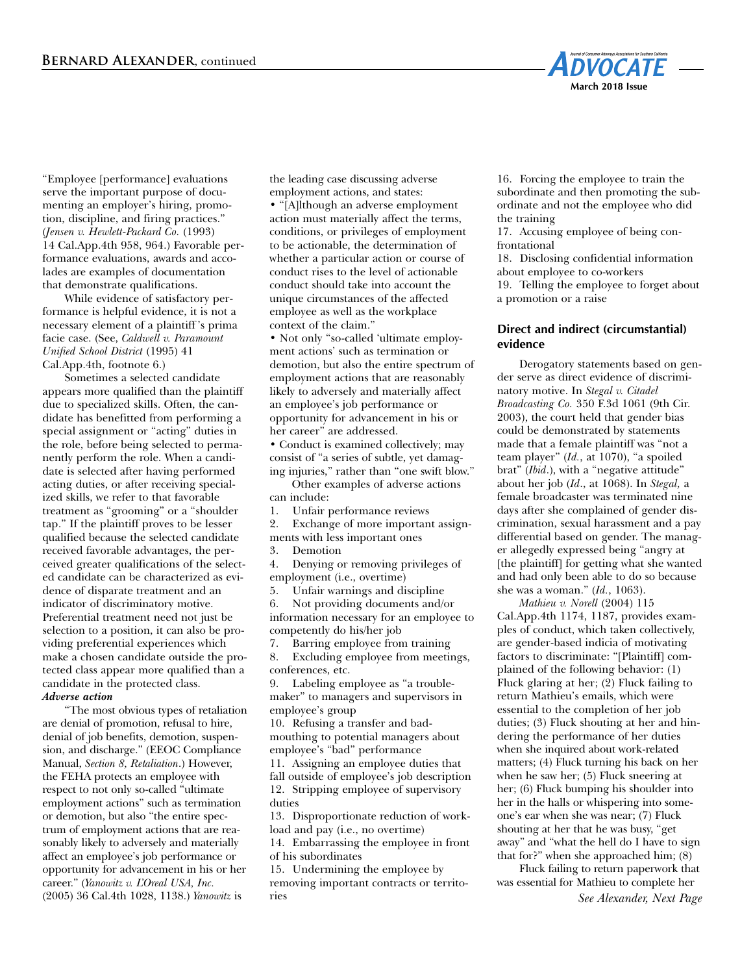

"Employee [performance] evaluations serve the important purpose of documenting an employer's hiring, promotion, discipline, and firing practices." (*Jensen v. Hewlett-Packard Co.* (1993) 14 Cal.App.4th 958, 964.) Favorable performance evaluations, awards and accolades are examples of documentation that demonstrate qualifications.

While evidence of satisfactory performance is helpful evidence, it is not a necessary element of a plaintiff 's prima facie case. (See, *Caldwell v. Paramount Unified School District* (1995) 41 Cal.App.4th, footnote 6.)

Sometimes a selected candidate appears more qualified than the plaintiff due to specialized skills. Often, the candidate has benefitted from performing a special assignment or "acting" duties in the role, before being selected to permanently perform the role. When a candidate is selected after having performed acting duties, or after receiving specialized skills, we refer to that favorable treatment as "grooming" or a "shoulder tap." If the plaintiff proves to be lesser qualified because the selected candidate received favorable advantages, the perceived greater qualifications of the selected candidate can be characterized as evidence of disparate treatment and an indicator of discriminatory motive. Preferential treatment need not just be selection to a position, it can also be providing preferential experiences which make a chosen candidate outside the protected class appear more qualified than a candidate in the protected class. *Adverse action*

"The most obvious types of retaliation are denial of promotion, refusal to hire, denial of job benefits, demotion, suspension, and discharge." (EEOC Compliance Manual, *Section 8, Retaliation*.) However, the FEHA protects an employee with respect to not only so-called "ultimate employment actions" such as termination or demotion, but also "the entire spectrum of employment actions that are reasonably likely to adversely and materially affect an employee's job performance or opportunity for advancement in his or her career." (*Yanowitz v. L'Oreal USA, Inc.* (2005) 36 Cal.4th 1028, 1138.) *Yanowitz* is

the leading case discussing adverse employment actions, and states: • "[A]lthough an adverse employment action must materially affect the terms, conditions, or privileges of employment to be actionable, the determination of whether a particular action or course of conduct rises to the level of actionable conduct should take into account the unique circumstances of the affected employee as well as the workplace context of the claim."

• Not only "so-called 'ultimate employment actions' such as termination or demotion, but also the entire spectrum of employment actions that are reasonably likely to adversely and materially affect an employee's job performance or opportunity for advancement in his or her career" are addressed.

• Conduct is examined collectively; may consist of "a series of subtle, yet damaging injuries," rather than "one swift blow."

Other examples of adverse actions

can include:

1. Unfair performance reviews

2. Exchange of more important assignments with less important ones

3. Demotion

4. Denying or removing privileges of employment (i.e., overtime)

5. Unfair warnings and discipline

6. Not providing documents and/or information necessary for an employee to competently do his/her job

7. Barring employee from training 8. Excluding employee from meetings, conferences, etc.

9. Labeling employee as "a troublemaker" to managers and supervisors in employee's group

10. Refusing a transfer and badmouthing to potential managers about employee's "bad" performance

11. Assigning an employee duties that fall outside of employee's job description 12. Stripping employee of supervisory duties

13. Disproportionate reduction of workload and pay (i.e., no overtime)

14. Embarrassing the employee in front of his subordinates

15. Undermining the employee by removing important contracts or territories

16. Forcing the employee to train the subordinate and then promoting the subordinate and not the employee who did the training

17. Accusing employee of being confrontational

18. Disclosing confidential information about employee to co-workers 19. Telling the employee to forget about a promotion or a raise

# **Direct and indirect (circumstantial) evidence**

Derogatory statements based on gender serve as direct evidence of discriminatory motive. In *Stegal v. Citadel Broadcasting Co.* 350 F.3d 1061 (9th Cir. 2003), the court held that gender bias could be demonstrated by statements made that a female plaintiff was "not a team player" (*Id.*, at 1070), "a spoiled brat" (*Ibid*.), with a "negative attitude" about her job (*Id*., at 1068). In *Stegal,* a female broadcaster was terminated nine days after she complained of gender discrimination, sexual harassment and a pay differential based on gender. The manager allegedly expressed being "angry at [the plaintiff] for getting what she wanted and had only been able to do so because she was a woman." (*Id.*, 1063).

*Mathieu v. Norell* (2004) 115 Cal.App.4th 1174, 1187, provides examples of conduct, which taken collectively, are gender-based indicia of motivating factors to discriminate: "[Plaintiff] complained of the following behavior: (1) Fluck glaring at her; (2) Fluck failing to return Mathieu's emails, which were essential to the completion of her job duties; (3) Fluck shouting at her and hindering the performance of her duties when she inquired about work-related matters; (4) Fluck turning his back on her when he saw her; (5) Fluck sneering at her; (6) Fluck bumping his shoulder into her in the halls or whispering into someone's ear when she was near; (7) Fluck shouting at her that he was busy, "get away" and "what the hell do I have to sign that for?" when she approached him; (8)

Fluck failing to return paperwork that was essential for Mathieu to complete her *See Alexander, Next Page*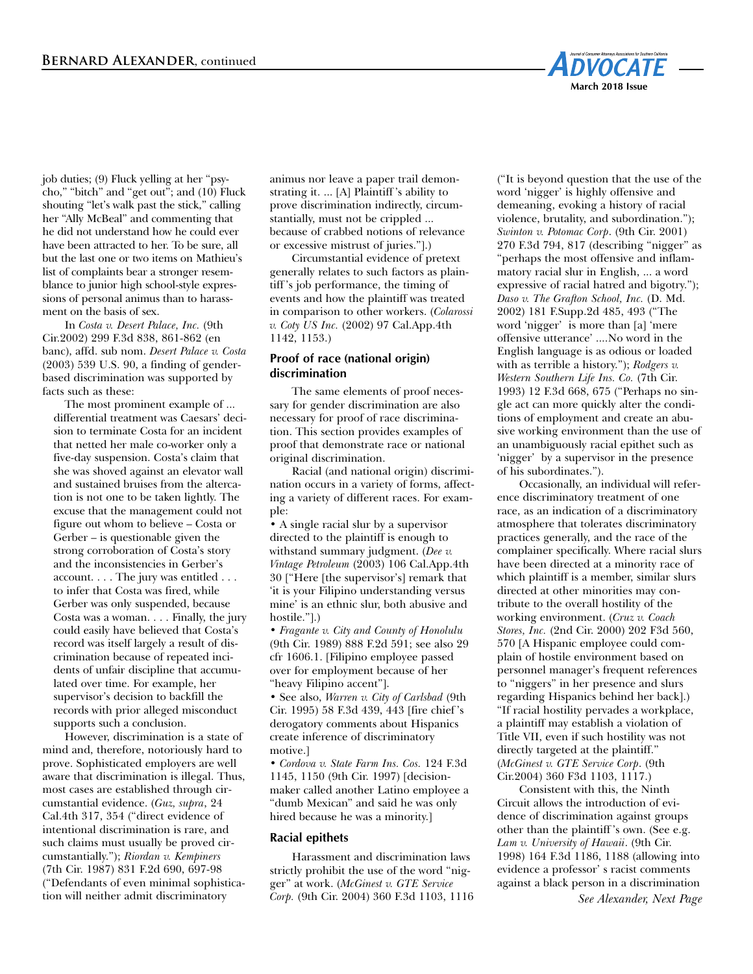

job duties; (9) Fluck yelling at her "psycho," "bitch" and "get out"; and (10) Fluck shouting "let's walk past the stick," calling her "Ally McBeal" and commenting that he did not understand how he could ever have been attracted to her. To be sure, all but the last one or two items on Mathieu's list of complaints bear a stronger resemblance to junior high school-style expressions of personal animus than to harassment on the basis of sex.

In *Costa v. Desert Palace, Inc.* (9th Cir.2002) 299 F.3d 838, 861-862 (en banc), affd. sub nom. *Desert Palace v. Costa* (2003) 539 U.S. 90, a finding of genderbased discrimination was supported by facts such as these:

The most prominent example of ... differential treatment was Caesars' decision to terminate Costa for an incident that netted her male co-worker only a five-day suspension. Costa's claim that she was shoved against an elevator wall and sustained bruises from the altercation is not one to be taken lightly. The excuse that the management could not figure out whom to believe – Costa or Gerber – is questionable given the strong corroboration of Costa's story and the inconsistencies in Gerber's account. . . . The jury was entitled . . . to infer that Costa was fired, while Gerber was only suspended, because Costa was a woman. . . . Finally, the jury could easily have believed that Costa's record was itself largely a result of discrimination because of repeated incidents of unfair discipline that accumulated over time. For example, her supervisor's decision to backfill the records with prior alleged misconduct supports such a conclusion.

However, discrimination is a state of mind and, therefore, notoriously hard to prove. Sophisticated employers are well aware that discrimination is illegal. Thus, most cases are established through circumstantial evidence. (*Guz, supra*, 24 Cal.4th 317, 354 ("direct evidence of intentional discrimination is rare, and such claims must usually be proved circumstantially."); *Riordan v. Kempiners* (7th Cir. 1987) 831 F.2d 690, 697-98 ("Defendants of even minimal sophistication will neither admit discriminatory

animus nor leave a paper trail demonstrating it. ... [A] Plaintiff 's ability to prove discrimination indirectly, circumstantially, must not be crippled ... because of crabbed notions of relevance or excessive mistrust of juries."].)

Circumstantial evidence of pretext generally relates to such factors as plaintiff 's job performance, the timing of events and how the plaintiff was treated in comparison to other workers. (*Colarossi v. Coty US Inc.* (2002) 97 Cal.App.4th 1142, 1153.)

# **Proof of race (national origin) discrimination**

The same elements of proof necessary for gender discrimination are also necessary for proof of race discrimination. This section provides examples of proof that demonstrate race or national original discrimination.

Racial (and national origin) discrimination occurs in a variety of forms, affecting a variety of different races. For example:

• A single racial slur by a supervisor directed to the plaintiff is enough to withstand summary judgment. (*Dee v. Vintage Petroleum* (2003) 106 Cal.App.4th 30 ["Here [the supervisor's] remark that 'it is your Filipino understanding versus mine' is an ethnic slur, both abusive and hostile."].)

*• Fragante v. City and County of Honolulu* (9th Cir. 1989) 888 F.2d 591; see also 29 cfr 1606.1. [Filipino employee passed over for employment because of her "heavy Filipino accent"].

• See also, *Warren v. City of Carlsbad* (9th Cir. 1995) 58 F.3d 439, 443 [fire chief 's derogatory comments about Hispanics create inference of discriminatory motive.]

*• Cordova v. State Farm Ins. Cos.* 124 F.3d 1145, 1150 (9th Cir. 1997) [decisionmaker called another Latino employee a "dumb Mexican" and said he was only hired because he was a minority.]

#### **Racial epithets**

Harassment and discrimination laws strictly prohibit the use of the word "nigger" at work. (*McGinest v. GTE Service Corp.* (9th Cir. 2004) 360 F.3d 1103, 1116 ("It is beyond question that the use of the word 'nigger' is highly offensive and demeaning, evoking a history of racial violence, brutality, and subordination."); *Swinton v. Potomac Corp*. (9th Cir. 2001) 270 F.3d 794, 817 (describing "nigger" as "perhaps the most offensive and inflammatory racial slur in English, ... a word expressive of racial hatred and bigotry."); *Daso v. The Grafton School, Inc.* (D. Md. 2002) 181 F.Supp.2d 485, 493 ("The word 'nigger' is more than [a] 'mere offensive utterance' ....No word in the English language is as odious or loaded with as terrible a history."); *Rodgers v. Western Southern Life Ins. Co.* (7th Cir. 1993) 12 F.3d 668, 675 ("Perhaps no single act can more quickly alter the conditions of employment and create an abusive working environment than the use of an unambiguously racial epithet such as 'nigger' by a supervisor in the presence of his subordinates.").

Occasionally, an individual will reference discriminatory treatment of one race, as an indication of a discriminatory atmosphere that tolerates discriminatory practices generally, and the race of the complainer specifically. Where racial slurs have been directed at a minority race of which plaintiff is a member, similar slurs directed at other minorities may contribute to the overall hostility of the working environment. (*Cruz v. Coach Stores, Inc.* (2nd Cir. 2000) 202 F3d 560, 570 [A Hispanic employee could complain of hostile environment based on personnel manager's frequent references to "niggers" in her presence and slurs regarding Hispanics behind her back].) "If racial hostility pervades a workplace, a plaintiff may establish a violation of Title VII, even if such hostility was not directly targeted at the plaintiff." (*McGinest v. GTE Service Corp*. (9th Cir.2004) 360 F3d 1103, 1117.)

Consistent with this, the Ninth Circuit allows the introduction of evidence of discrimination against groups other than the plaintiff 's own. (See e.g. *Lam v. University of Hawaii*. (9th Cir. 1998) 164 F.3d 1186, 1188 (allowing into evidence a professor' s racist comments against a black person in a discrimination

*See Alexander, Next Page*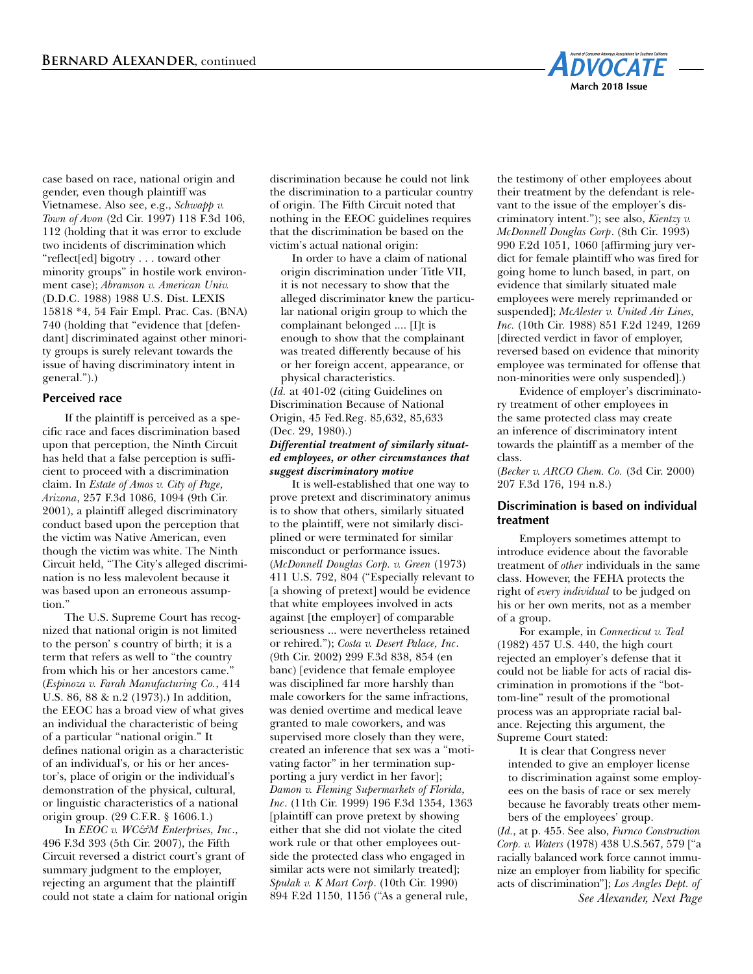

case based on race, national origin and gender, even though plaintiff was Vietnamese. Also see, e.g., *Schwapp v. Town of Avon* (2d Cir. 1997) 118 F.3d 106, 112 (holding that it was error to exclude two incidents of discrimination which "reflect[ed] bigotry . . . toward other minority groups" in hostile work environment case); *Abramson v. American Univ.* (D.D.C. 1988) 1988 U.S. Dist. LEXIS 15818 \*4, 54 Fair Empl. Prac. Cas. (BNA) 740 (holding that "evidence that [defendant] discriminated against other minority groups is surely relevant towards the issue of having discriminatory intent in general.").)

# **Perceived race**

If the plaintiff is perceived as a specific race and faces discrimination based upon that perception, the Ninth Circuit has held that a false perception is sufficient to proceed with a discrimination claim. In *Estate of Amos v. City of Page, Arizona*, 257 F.3d 1086, 1094 (9th Cir. 2001), a plaintiff alleged discriminatory conduct based upon the perception that the victim was Native American, even though the victim was white. The Ninth Circuit held, "The City's alleged discrimination is no less malevolent because it was based upon an erroneous assumption."

The U.S. Supreme Court has recognized that national origin is not limited to the person' s country of birth; it is a term that refers as well to "the country from which his or her ancestors came." (*Espinoza v. Farah Manufacturing Co.*, 414 U.S. 86, 88 & n.2 (1973).) In addition, the EEOC has a broad view of what gives an individual the characteristic of being of a particular "national origin." It defines national origin as a characteristic of an individual's, or his or her ancestor's, place of origin or the individual's demonstration of the physical, cultural, or linguistic characteristics of a national origin group. (29 C.F.R. § 1606.1.)

In *EEOC v. WC&M Enterprises, Inc*., 496 F.3d 393 (5th Cir. 2007), the Fifth Circuit reversed a district court's grant of summary judgment to the employer, rejecting an argument that the plaintiff could not state a claim for national origin discrimination because he could not link the discrimination to a particular country of origin. The Fifth Circuit noted that nothing in the EEOC guidelines requires that the discrimination be based on the victim's actual national origin:

In order to have a claim of national origin discrimination under Title VII, it is not necessary to show that the alleged discriminator knew the particular national origin group to which the complainant belonged .... [I]t is enough to show that the complainant was treated differently because of his or her foreign accent, appearance, or physical characteristics.

(*Id.* at 401-02 (citing Guidelines on Discrimination Because of National Origin, 45 Fed.Reg. 85,632, 85,633 (Dec. 29, 1980).)

#### *Differential treatment of similarly situated employees, or other circumstances that suggest discriminatory motive*

It is well-established that one way to prove pretext and discriminatory animus is to show that others, similarly situated to the plaintiff, were not similarly disciplined or were terminated for similar misconduct or performance issues. (*McDonnell Douglas Corp. v. Green* (1973) 411 U.S. 792, 804 ("Especially relevant to [a showing of pretext] would be evidence that white employees involved in acts against [the employer] of comparable seriousness ... were nevertheless retained or rehired."); *Costa v. Desert Palace, Inc*. (9th Cir. 2002) 299 F.3d 838, 854 (en banc) [evidence that female employee was disciplined far more harshly than male coworkers for the same infractions, was denied overtime and medical leave granted to male coworkers, and was supervised more closely than they were, created an inference that sex was a "motivating factor" in her termination supporting a jury verdict in her favor]; *Damon v. Fleming Supermarkets of Florida, Inc*. (11th Cir. 1999) 196 F.3d 1354, 1363 [plaintiff can prove pretext by showing either that she did not violate the cited work rule or that other employees outside the protected class who engaged in similar acts were not similarly treated]; *Spulak v. K Mart Corp*. (10th Cir. 1990) 894 F.2d 1150, 1156 ("As a general rule,

the testimony of other employees about their treatment by the defendant is relevant to the issue of the employer's discriminatory intent."); see also, *Kientzy v. McDonnell Douglas Corp*. (8th Cir. 1993) 990 F.2d 1051, 1060 [affirming jury verdict for female plaintiff who was fired for going home to lunch based, in part, on evidence that similarly situated male employees were merely reprimanded or suspended]; *McAlester v. United Air Lines, Inc.* (10th Cir. 1988) 851 F.2d 1249, 1269 [directed verdict in favor of employer, reversed based on evidence that minority employee was terminated for offense that non-minorities were only suspended].)

Evidence of employer's discriminatory treatment of other employees in the same protected class may create an inference of discriminatory intent towards the plaintiff as a member of the class.

(*Becker v. ARCO Chem. Co.* (3d Cir. 2000) 207 F.3d 176, 194 n.8.)

# **Discrimination is based on individual treatment**

Employers sometimes attempt to introduce evidence about the favorable treatment of *other* individuals in the same class. However, the FEHA protects the right of *every individual* to be judged on his or her own merits, not as a member of a group.

For example, in *Connecticut v. Teal* (1982) 457 U.S. 440, the high court rejected an employer's defense that it could not be liable for acts of racial discrimination in promotions if the "bottom-line" result of the promotional process was an appropriate racial balance. Rejecting this argument, the Supreme Court stated:

It is clear that Congress never intended to give an employer license to discrimination against some employees on the basis of race or sex merely because he favorably treats other members of the employees' group.

(*Id.*, at p. 455. See also, *Furnco Construction Corp. v. Waters* (1978) 438 U.S.567, 579 ["a racially balanced work force cannot immunize an employer from liability for specific acts of discrimination"]; *Los Angles Dept. of See Alexander, Next Page*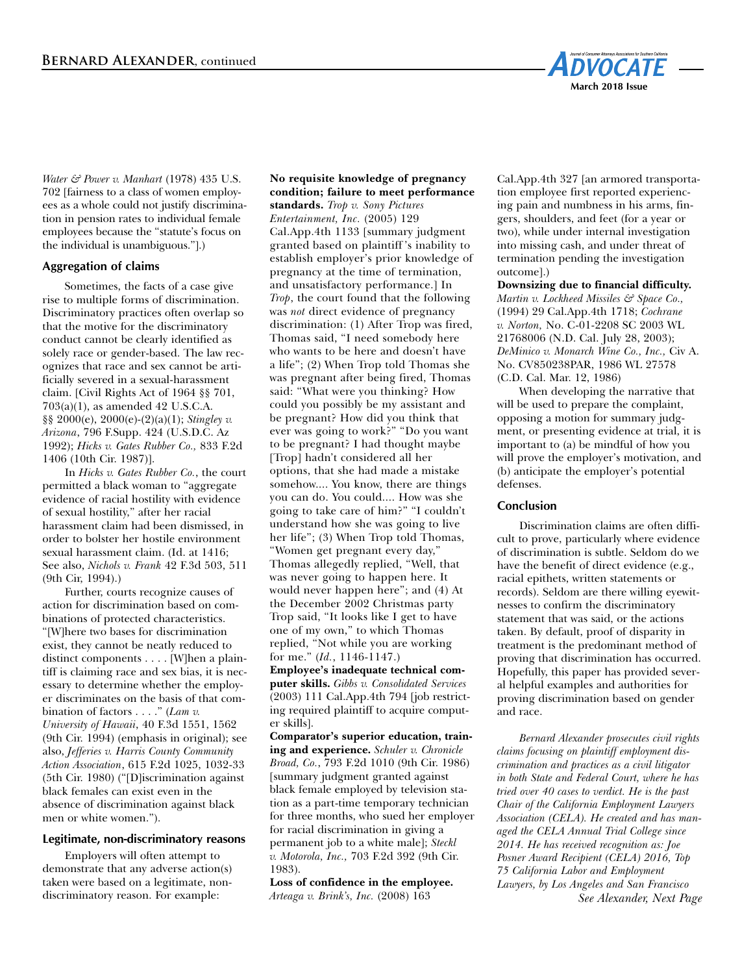

*Water & Power v. Manhart* (1978) 435 U.S. 702 [fairness to a class of women employees as a whole could not justify discrimination in pension rates to individual female employees because the "statute's focus on the individual is unambiguous."].)

# **Aggregation of claims**

Sometimes, the facts of a case give rise to multiple forms of discrimination. Discriminatory practices often overlap so that the motive for the discriminatory conduct cannot be clearly identified as solely race or gender-based. The law recognizes that race and sex cannot be artificially severed in a sexual-harassment claim. [Civil Rights Act of 1964 §§ 701, 703(a)(1), as amended 42 U.S.C.A. §§ 2000(e), 2000(e)-(2)(a)(1); *Stingley v. Arizona*, 796 F.Supp. 424 (U.S.D.C. Az 1992); *Hicks v. Gates Rubber Co.,* 833 F.2d 1406 (10th Cir. 1987)].

In *Hicks v. Gates Rubber Co.*, the court permitted a black woman to "aggregate evidence of racial hostility with evidence of sexual hostility," after her racial harassment claim had been dismissed, in order to bolster her hostile environment sexual harassment claim. (Id. at 1416; See also, *Nichols v. Frank* 42 F.3d 503, 511 (9th Cir, 1994).)

Further, courts recognize causes of action for discrimination based on combinations of protected characteristics. "[W]here two bases for discrimination exist, they cannot be neatly reduced to distinct components . . . . [W]hen a plaintiff is claiming race and sex bias, it is necessary to determine whether the employer discriminates on the basis of that combination of factors . . . ." (*Lam v. University of Hawaii*, 40 F.3d 1551, 1562 (9th Cir. 1994) (emphasis in original); see also, *Jefferies v. Harris County Community Action Association*, 615 F.2d 1025, 1032-33 (5th Cir. 1980) ("[D]iscrimination against black females can exist even in the absence of discrimination against black men or white women.").

#### **Legitimate, non-discriminatory reasons**

Employers will often attempt to demonstrate that any adverse action(s) taken were based on a legitimate, nondiscriminatory reason. For example:

**No requisite knowledge of pregnancy condition; failure to meet performance standards.** *Trop v. Sony Pictures Entertainment, Inc.* (2005) 129 Cal.App.4th 1133 [summary judgment granted based on plaintiff 's inability to establish employer's prior knowledge of pregnancy at the time of termination, and unsatisfactory performance.] In *Trop*, the court found that the following was *not* direct evidence of pregnancy discrimination: (1) After Trop was fired, Thomas said, "I need somebody here who wants to be here and doesn't have a life"; (2) When Trop told Thomas she was pregnant after being fired, Thomas said: "What were you thinking? How could you possibly be my assistant and be pregnant? How did you think that ever was going to work?" "Do you want to be pregnant? I had thought maybe [Trop] hadn't considered all her options, that she had made a mistake somehow.... You know, there are things you can do. You could.... How was she going to take care of him?" "I couldn't understand how she was going to live her life"; (3) When Trop told Thomas, "Women get pregnant every day," Thomas allegedly replied, "Well, that was never going to happen here. It would never happen here"; and (4) At the December 2002 Christmas party Trop said, "It looks like I get to have one of my own," to which Thomas replied, "Not while you are working for me." (*Id.*, 1146-1147.)

**Employee's inadequate technical computer skills.** *Gibbs v. Consolidated Services* (2003) 111 Cal.App.4th 794 [job restricting required plaintiff to acquire computer skills].

**Comparator's superior education, training and experience.** *Schuler v. Chronicle Broad, Co.*, 793 F.2d 1010 (9th Cir. 1986) [summary judgment granted against black female employed by television station as a part-time temporary technician for three months, who sued her employer for racial discrimination in giving a permanent job to a white male]; *Steckl v. Motorola, Inc.,* 703 F.2d 392 (9th Cir. 1983).

**Loss of confidence in the employee.** *Arteaga v. Brink's, Inc.* (2008) 163

Cal.App.4th 327 [an armored transportation employee first reported experiencing pain and numbness in his arms, fingers, shoulders, and feet (for a year or two), while under internal investigation into missing cash, and under threat of termination pending the investigation outcome].)

**Downsizing due to financial difficulty.** *Martin v. Lockheed Missiles & Space Co.,* (1994) 29 Cal.App.4th 1718; *Cochrane v. Norton,* No. C-01-2208 SC 2003 WL 21768006 (N.D. Cal. July 28, 2003); *DeMinico v. Monarch Wine Co., Inc.,* Civ A. No. CV850238PAR, 1986 WL 27578 (C.D. Cal. Mar. 12, 1986)

When developing the narrative that will be used to prepare the complaint, opposing a motion for summary judgment, or presenting evidence at trial, it is important to (a) be mindful of how you will prove the employer's motivation, and (b) anticipate the employer's potential defenses.

#### **Conclusion**

Discrimination claims are often difficult to prove, particularly where evidence of discrimination is subtle. Seldom do we have the benefit of direct evidence (e.g., racial epithets, written statements or records). Seldom are there willing eyewitnesses to confirm the discriminatory statement that was said, or the actions taken. By default, proof of disparity in treatment is the predominant method of proving that discrimination has occurred. Hopefully, this paper has provided several helpful examples and authorities for proving discrimination based on gender and race.

*Bernard Alexander prosecutes civil rights claims focusing on plaintiff employment discrimination and practices as a civil litigator in both State and Federal Court, where he has tried over 40 cases to verdict. He is the past Chair of the California Employment Lawyers Association (CELA). He created and has managed the CELA Annual Trial College since 2014. He has received recognition as: Joe Posner Award Recipient (CELA) 2016, Top 75 California Labor and Employment Lawyers, by Los Angeles and San Francisco See Alexander, Next Page*